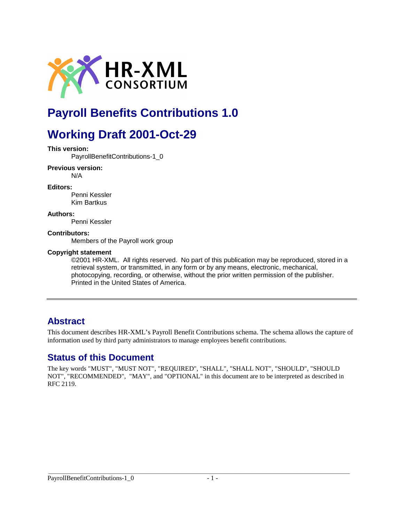

# **Payroll Benefits Contributions 1.0**

# **Working Draft 2001-Oct-29**

#### **This version:**

PayrollBenefitContributions-1\_0

#### **Previous version:**

N/A

#### **Editors:**

Penni Kessler Kim Bartkus

#### **Authors:**

Penni Kessler

#### **Contributors:**

Members of the Payroll work group

#### **Copyright statement**

©2001 HR-XML. All rights reserved. No part of this publication may be reproduced, stored in a retrieval system, or transmitted, in any form or by any means, electronic, mechanical, photocopying, recording, or otherwise, without the prior written permission of the publisher. Printed in the United States of America.

### **Abstract**

This document describes HR-XML's Payroll Benefit Contributions schema. The schema allows the capture of information used by third party administrators to manage employees benefit contributions.

### **Status of this Document**

The key words "MUST", "MUST NOT", "REQUIRED", "SHALL", "SHALL NOT", "SHOULD", "SHOULD NOT", "RECOMMENDED", "MAY", and "OPTIONAL" in this document are to be interpreted as described in RFC 2119.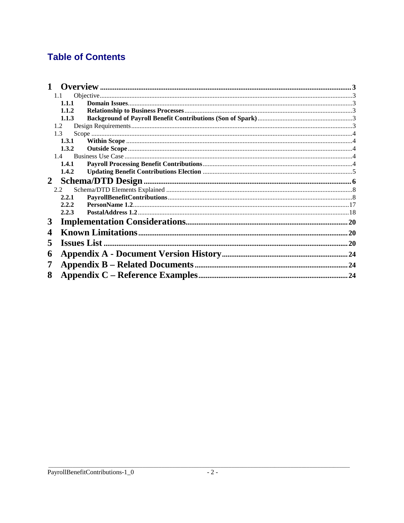## **Table of Contents**

|             | 1.1   |  |  |
|-------------|-------|--|--|
|             | 1.1.1 |  |  |
|             | 1.1.2 |  |  |
|             | 1.1.3 |  |  |
|             | 1.2   |  |  |
|             | 1.3   |  |  |
|             | 1.3.1 |  |  |
|             | 1.3.2 |  |  |
|             |       |  |  |
|             | 1.4.1 |  |  |
|             | 1.4.2 |  |  |
| $2^{\circ}$ |       |  |  |
|             | 2.2   |  |  |
|             | 2.2.1 |  |  |
|             | 2.2.2 |  |  |
|             | 2.2.3 |  |  |
| 3           |       |  |  |
| 4           |       |  |  |
| 5           |       |  |  |
| 6           |       |  |  |
| 7           |       |  |  |
| 8           | 24    |  |  |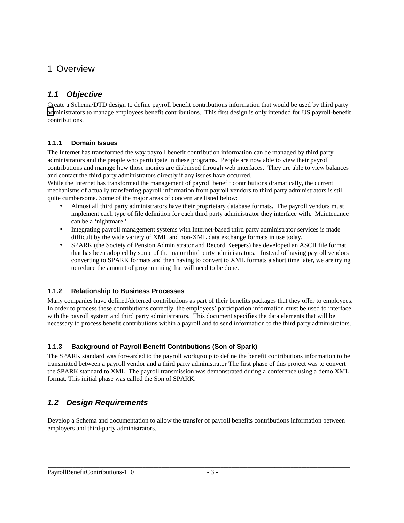### 1 Overview

### *1.1 Objective*

Create a Schema/DTD design to define payroll benefit contributions information that would be used by third party [ad](http://www.hr-xml.org/)ministrators to manage employees benefit contributions. This first design is only intended for US payroll-benefit contributions.

#### **1.1.1 Domain Issues**

The Internet has transformed the way payroll benefit contribution information can be managed by third party administrators and the people who participate in these programs. People are now able to view their payroll contributions and manage how those monies are disbursed through web interfaces. They are able to view balances and contact the third party administrators directly if any issues have occurred.

While the Internet has transformed the management of payroll benefit contributions dramatically, the current mechanisms of actually transferring payroll information from payroll vendors to third party administrators is still quite cumbersome. Some of the major areas of concern are listed below:

- Almost all third party administrators have their proprietary database formats. The payroll vendors must implement each type of file definition for each third party administrator they interface with. Maintenance can be a 'nightmare.'
- Integrating payroll management systems with Internet-based third party administrator services is made difficult by the wide variety of XML and non-XML data exchange formats in use today.
- SPARK (the Society of Pension Administrator and Record Keepers) has developed an ASCII file format that has been adopted by some of the major third party administrators. Instead of having payroll vendors converting to SPARK formats and then having to convert to XML formats a short time later, we are trying to reduce the amount of programming that will need to be done.

### **1.1.2 Relationship to Business Processes**

Many companies have defined/deferred contributions as part of their benefits packages that they offer to employees. In order to process these contributions correctly, the employees' participation information must be used to interface with the payroll system and third party administrators. This document specifies the data elements that will be necessary to process benefit contributions within a payroll and to send information to the third party administrators.

### **1.1.3 Background of Payroll Benefit Contributions (Son of Spark)**

The SPARK standard was forwarded to the payroll workgroup to define the benefit contributions information to be transmitted between a payroll vendor and a third party administrator The first phase of this project was to convert the SPARK standard to XML. The payroll transmission was demonstrated during a conference using a demo XML format. This initial phase was called the Son of SPARK.

### *1.2 Design Requirements*

Develop a Schema and documentation to allow the transfer of payroll benefits contributions information between employers and third-party administrators.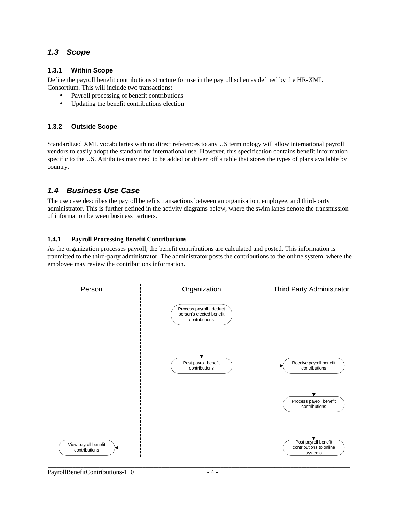#### *1.3 Scope*

#### **1.3.1 Within Scope**

Define the payroll benefit contributions structure for use in the payroll schemas defined by the HR-XML Consortium. This will include two transactions:

- Payroll processing of benefit contributions
- Updating the benefit contributions election

#### **1.3.2 Outside Scope**

Standardized XML vocabularies with no direct references to any US terminology will allow international payroll vendors to easily adopt the standard for international use. However, this specification contains benefit information specific to the US. Attributes may need to be added or driven off a table that stores the types of plans available by country.

### *1.4 Business Use Case*

The use case describes the payroll benefits transactions between an organization, employee, and third-party administrator. This is further defined in the activity diagrams below, where the swim lanes denote the transmission of information between business partners.

#### **1.4.1 Payroll Processing Benefit Contributions**

As the organization processes payroll, the benefit contributions are calculated and posted. This information is tranmitted to the third-party administrator. The administrator posts the contributions to the online system, where the employee may review the contributions information.



PayrollBenefitContributions-1\_0 - 4 -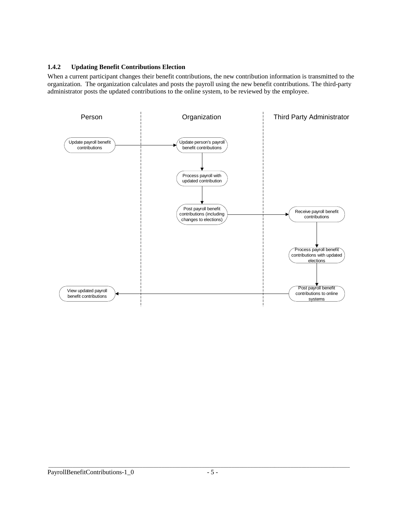#### **1.4.2 Updating Benefit Contributions Election**

When a current participant changes their benefit contributions, the new contribution information is transmitted to the organization. The organization calculates and posts the payroll using the new benefit contributions. The third-party administrator posts the updated contributions to the online system, to be reviewed by the employee.

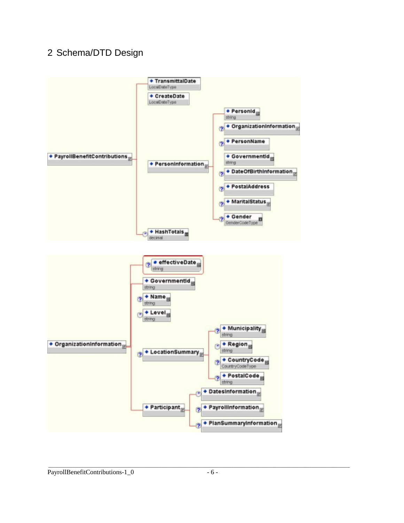## 2 Schema/DTD Design

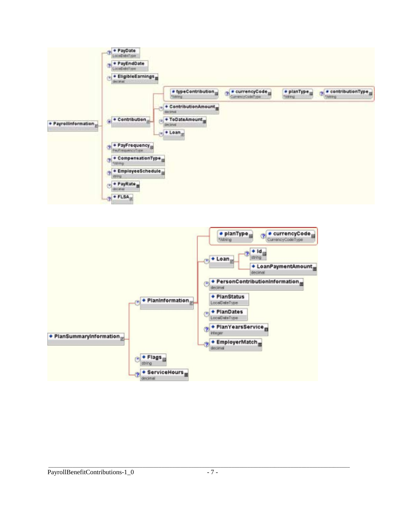

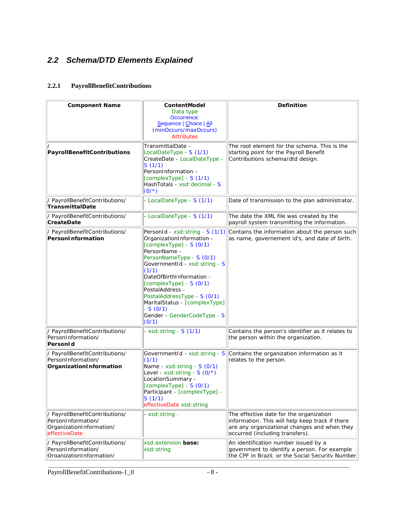## *2.2 Schema/DTD Elements Explained*

### **2.2.1 PayrollBenefitContributions**

| <b>Component Name</b>                                                                             | ContentModel<br>Data type<br>Occurrence:<br>Sequence   Choice   All<br>(minOccurs/maxOccurs)<br><b>Attributes</b>                                                                                                                                                                                                                                                                | Definition                                                                                                                                                                    |
|---------------------------------------------------------------------------------------------------|----------------------------------------------------------------------------------------------------------------------------------------------------------------------------------------------------------------------------------------------------------------------------------------------------------------------------------------------------------------------------------|-------------------------------------------------------------------------------------------------------------------------------------------------------------------------------|
| PayrollBenefitContributions                                                                       | TransmittalDate -<br>LocalDateType - S (1/1)<br>CreateDate - LocalDateType -<br>S(1/1)<br>PersonInformation -<br>[complexType] - S (1/1)<br>HashTotals - xsd: decimal - S<br>$(0/*)$                                                                                                                                                                                             | The root element for the schema. This is the<br>starting point for the Payroll Benefit<br>Contributions schema/dtd design.                                                    |
| / PayrollBenefitContributions/<br>TransmittalDate                                                 | - LocalDateType - S (1/1)                                                                                                                                                                                                                                                                                                                                                        | Date of transmission to the plan administrator.                                                                                                                               |
| / PayrollBenefitContributions/<br>CreateDate                                                      | - LocalDateType - S (1/1)                                                                                                                                                                                                                                                                                                                                                        | The date the XML file was created by the<br>payroll system transmitting the information.                                                                                      |
| / PayrollBenefitContributions/<br>PersonInformation                                               | PersonId - xsd: string - S (1/1)<br>OrganizationInformation -<br>$[complexType] - S(0/1)$<br>PersonName -<br>PersonNameType - S (0/1)<br>GovernmentId - xsd: string - S<br>(1/1)<br>DateOfBirthInformation -<br>$[complexType] - S(0/1)$<br>PostalAddress -<br>PostalAddressType - S (0/1)<br>MaritalStatus - [complexType]<br>$-S(0/1)$<br>Gender - GenderCodeType - S<br>(0/1) | Contains the information about the person such<br>as name, governement id's, and date of birth.                                                                               |
| / PayrollBenefitContributions/<br>PersonInformation/<br>PersonId                                  | - $xsd:string - S(1/1)$                                                                                                                                                                                                                                                                                                                                                          | Contains the person's identifier as it relates to<br>the person within the organization.                                                                                      |
| / PayrollBenefitContributions/<br>PersonInformation/<br>OrganizationInformation                   | GovernmentId - xsd: string - S<br>(1/1)<br>Name - xsd: string - S (0/1)<br>Level - xsd: string - $S(0/*)$<br>LocationSummary -<br>$[complexType] - S(0/1)$<br>Participant - [complexType] -<br>S(1/1)<br>effectiveDate xsd: string                                                                                                                                               | Contains the organization information as it<br>relates to the person.                                                                                                         |
| / PayrollBenefitContributions/<br>PersonInformation/<br>OrganizationInformation/<br>effectiveDate | - xsd: string -                                                                                                                                                                                                                                                                                                                                                                  | The effective date for the organization<br>information. This will help keep track if there<br>are any organizational changes and when they<br>occurred (including transfers). |
| / PayrollBenefitContributions/<br>PersonInformation/<br>OrganizationInformation/                  | xsd: extension base:<br>xsd: string                                                                                                                                                                                                                                                                                                                                              | An identification number issued by a<br>government to identify a person. For example<br>the CPF in Brazil, or the Social Security Number                                      |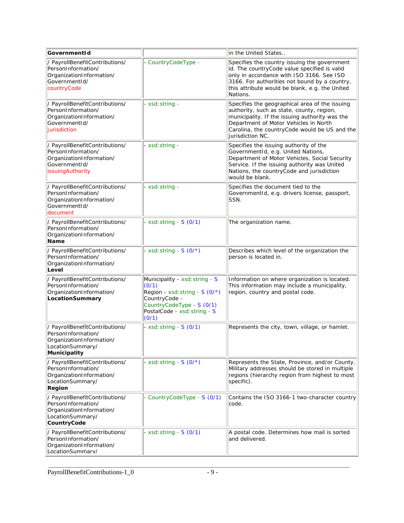| GovernmentId                                                                                                                 |                                                                                                                                                                   | in the United States                                                                                                                                                                                                                                         |
|------------------------------------------------------------------------------------------------------------------------------|-------------------------------------------------------------------------------------------------------------------------------------------------------------------|--------------------------------------------------------------------------------------------------------------------------------------------------------------------------------------------------------------------------------------------------------------|
| / PayrollBenefitContributions/<br>PersonInformation/<br>OrganizationInformation/<br>GovernmentId/<br>countryCode             | - CountryCodeType -                                                                                                                                               | Specifies the country issuing the government<br>id. The countryCode value specified is valid<br>only in accordance with ISO 3166. See ISO<br>3166. For authorities not bound by a country,<br>this attribute would be blank, e.g. the United<br>Nations.     |
| / PayrollBenefitContributions/<br>PersonInformation/<br>OrganizationInformation/<br>GovernmentId/<br>jurisdiction            | - xsd: string -                                                                                                                                                   | Specifies the geographical area of the issuing<br>authority, such as state, county, region,<br>municipality. If the issuing authority was the<br>Department of Motor Vehicles in North<br>Carolina, the country Code would be US and the<br>jurisdiction NC. |
| / PayrollBenefitContributions/<br>PersonInformation/<br>OrganizationInformation/<br>GovernmentId/<br><b>issuingAuthority</b> | - xsd: string -                                                                                                                                                   | Specifies the issuing authority of the<br>GovernmentId, e.g. United Nations,<br>Department of Motor Vehicles, Social Security<br>Service. If the issuing authority was United<br>Nations, the countryCode and jurisdiction<br>would be blank.                |
| / PayrollBenefitContributions/<br>PersonInformation/<br>OrganizationInformation/<br>GovernmentId/<br>document                | - xsd: string -                                                                                                                                                   | Specifies the document tied to the<br>GovernmentId, e.g. drivers license, passport,<br>SSN.                                                                                                                                                                  |
| / PayrollBenefitContributions/<br>PersonInformation/<br>OrganizationInformation/<br>Name                                     | - xsd: string - $S(0/1)$                                                                                                                                          | The organization name.                                                                                                                                                                                                                                       |
| / PayrollBenefitContributions/<br>PersonInformation/<br>OrganizationInformation/<br>Level                                    | - xsd: string - S $(0/*)$                                                                                                                                         | Describes which level of the organization the<br>person is located in.                                                                                                                                                                                       |
| / PayrollBenefitContributions/<br>PersonInformation/<br>OrganizationInformation/<br>LocationSummary                          | Municipality - xsd: string - S<br>(0/1)<br>Region - xsd: string - $S(0/*)$<br>CountryCode -<br>CountryCodeType - S (0/1)<br>PostalCode - xsd: string - S<br>(0/1) | Information on where organization is located.<br>This information may include a municipality,<br>region, country and postal code.                                                                                                                            |
| / PayrollBenefitContributions/<br>PersonInformation/<br>OrganizationInformation/<br>LocationSummary/<br>Municipality         | - $xsd:string - S(0/1)$                                                                                                                                           | Represents the city, town, village, or hamlet.                                                                                                                                                                                                               |
| / PayrollBenefitContributions/<br>PersonInformation/<br>OrganizationInformation/<br>LocationSummary/<br>Region               | - xsd: string - $S(0/*)$                                                                                                                                          | Represents the State, Province, and/or County.<br>Military addresses should be stored in multiple<br>regions (hierarchy region from highest to most<br>specific).                                                                                            |
| / PayrollBenefitContributions/<br>PersonInformation/<br>OrganizationInformation/<br>LocationSummary/<br>CountryCode          | - CountryCodeType - S (0/1)                                                                                                                                       | Contains the ISO 3166-1 two-character country<br>code.                                                                                                                                                                                                       |
| / PayrollBenefitContributions/<br>PersonInformation/<br>OrganizationInformation/<br>I ocationSummarv/                        | $xsd:$ string - $S(0/1)$                                                                                                                                          | A postal code. Determines how mail is sorted<br>land delivered.                                                                                                                                                                                              |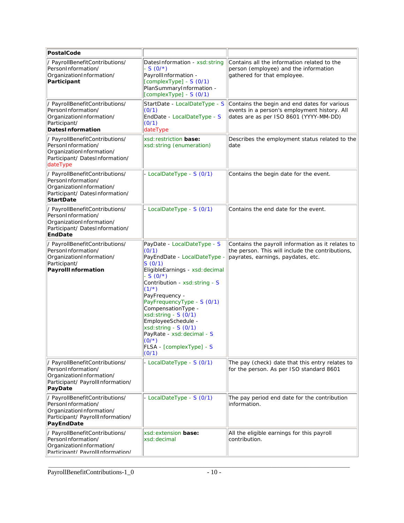| PostalCode                                                                                                                             |                                                                                                                                                                                                                                                                                                                                                                                                          |                                                                                                                                             |
|----------------------------------------------------------------------------------------------------------------------------------------|----------------------------------------------------------------------------------------------------------------------------------------------------------------------------------------------------------------------------------------------------------------------------------------------------------------------------------------------------------------------------------------------------------|---------------------------------------------------------------------------------------------------------------------------------------------|
| / PayrollBenefitContributions/<br>PersonInformation/<br>OrganizationInformation/<br>Participant                                        | DatesInformation - xsd: string<br>$-S(0/*)$<br>PayrollInformation -<br>$[complexType] - S(0/1)$<br>PlanSummaryInformation -<br>$[complexType] - S(0/1)$                                                                                                                                                                                                                                                  | Contains all the information related to the<br>person (employee) and the information<br>gathered for that employee.                         |
| / PayrollBenefitContributions/<br>PersonInformation/<br>OrganizationInformation/<br>Participant/<br>DatesInformation                   | StartDate - LocalDateType - S<br>(0/1)<br>EndDate - LocalDateType - S<br>(0/1)<br>dateType                                                                                                                                                                                                                                                                                                               | Contains the begin and end dates for various<br>events in a person's employment history. All<br>dates are as per ISO 8601 (YYYY-MM-DD)      |
| / PayrollBenefitContributions/<br>PersonInformation/<br>OrganizationInformation/<br>Participant/ DatesInformation/<br>dateType         | xsd: restriction base:<br>xsd: string (enumeration)                                                                                                                                                                                                                                                                                                                                                      | Describes the employment status related to the<br>ldate                                                                                     |
| / PayrollBenefitContributions/<br>PersonInformation/<br>OrganizationInformation/<br>Participant/ DatesInformation/<br><b>StartDate</b> | - LocalDateType - S (0/1)                                                                                                                                                                                                                                                                                                                                                                                | Contains the begin date for the event.                                                                                                      |
| / PayrollBenefitContributions/<br>PersonInformation/<br>OrganizationInformation/<br>Participant/ DatesInformation/<br>EndDate          | - LocalDateType - S (0/1)                                                                                                                                                                                                                                                                                                                                                                                | Contains the end date for the event.                                                                                                        |
| / PayrollBenefitContributions/<br>PersonInformation/<br>OrganizationInformation/<br>Participant/<br>PayrollInformation                 | PayDate - LocalDateType - S<br>(0/1)<br>PayEndDate - LocalDateType -<br>S(0/1)<br>EligibleEarnings - xsd: decimal<br>$-S(0/*)$<br>Contribution - xsd: string - S<br>$(1/*)$<br>PayFrequency -<br>PayFrequencyType - S (0/1)<br>CompensationType -<br>xsd: string - S (0/1)<br>EmployeeSchedule -<br>$xsd: string - S(0/1)$<br>PayRate - xsd: decimal - S<br>$(0/*)$<br>FLSA - [complexType] - S<br>(0/1) | Contains the payroll information as it relates to<br>the person. This will include the contributions,<br>payrates, earnings, paydates, etc. |
| / PayrollBenefitContributions/<br>PersonInformation/<br>OrganizationInformation/<br>Participant/ PayrollInformation/<br>PayDate        | - LocalDateType - S (0/1)                                                                                                                                                                                                                                                                                                                                                                                | The pay (check) date that this entry relates to<br>for the person. As per ISO standard 8601                                                 |
| / PayrollBenefitContributions/<br>PersonInformation/<br>OrganizationInformation/<br>Participant/ PayrollInformation/<br>PayEndDate     | - LocalDateType - S (0/1)                                                                                                                                                                                                                                                                                                                                                                                | The pay period end date for the contribution<br>information.                                                                                |
| / PayrollBenefitContributions/<br>PersonInformation/<br>OrganizationInformation/<br>Particinant/ PavrollInformation/                   | xsd: extension base:<br> xsd: decimal                                                                                                                                                                                                                                                                                                                                                                    | All the eligible earnings for this payroll<br>contribution.                                                                                 |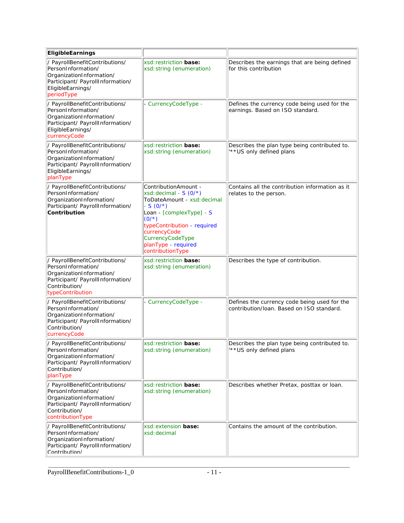| EligibleEarnings                                                                                                                                          |                                                                                                                                                                                                                                                  |                                                                                           |
|-----------------------------------------------------------------------------------------------------------------------------------------------------------|--------------------------------------------------------------------------------------------------------------------------------------------------------------------------------------------------------------------------------------------------|-------------------------------------------------------------------------------------------|
| / PayrollBenefitContributions/<br>PersonInformation/<br>OrganizationInformation/<br>Participant/ PayrollInformation/<br>EligibleEarnings/<br>periodType   | xsd: restriction base:<br>xsd: string (enumeration)                                                                                                                                                                                              | Describes the earnings that are being defined<br>for this contribution                    |
| / PayrollBenefitContributions/<br>PersonInformation/<br>OrganizationInformation/<br>Participant/ PayrollInformation/<br>EligibleEarnings/<br>currencyCode | - CurrencyCodeType -                                                                                                                                                                                                                             | Defines the currency code being used for the<br>earnings. Based on ISO standard.          |
| / PayrollBenefitContributions/<br>PersonInformation/<br>OrganizationInformation/<br>Participant/ PayrollInformation/<br>EligibleEarnings/<br>planType     | xsd: restriction base:<br>xsd: string (enumeration)                                                                                                                                                                                              | Describes the plan type being contributed to.<br>** US only defined plans                 |
| / PayrollBenefitContributions/<br>PersonInformation/<br>OrganizationInformation/<br>Participant/ PayrollInformation/<br>Contribution                      | ContributionAmount -<br>xsd: decimal - $S(0/*)$<br>ToDateAmount - xsd: decimal<br>$-S(0/*)$<br>Loan - [complexType] - S<br>$(0/*)$<br>typeContribution - required<br>currencyCode<br>CurrencyCodeType<br>planType - required<br>contributionType | Contains all the contribution information as it<br>relates to the person.                 |
| / PayrollBenefitContributions/<br>PersonInformation/<br>OrganizationInformation/<br>Participant/ PayrollInformation/<br>Contribution/<br>typeContribution | xsd: restriction base:<br>xsd: string (enumeration)                                                                                                                                                                                              | Describes the type of contribution.                                                       |
| / PayrollBenefitContributions/<br>PersonInformation/<br>OrganizationInformation/<br>Participant/ PayrollInformation/<br>Contribution/<br>currencyCode     | - CurrencyCodeType -                                                                                                                                                                                                                             | Defines the currency code being used for the<br>contribution/loan. Based on ISO standard. |
| / PayrollBenefitContributions/<br>PersonInformation/<br>OrganizationInformation/<br>Participant/ PayrollInformation/<br>Contribution/<br>planType         | xsd: restriction <b>base:</b><br>xsd: string (enumeration)                                                                                                                                                                                       | Describes the plan type being contributed to<br>"** US only defined plans                 |
| / PayrollBenefitContributions/<br>PersonInformation/<br>OrganizationInformation/<br>Participant/ PayrollInformation/<br>Contribution/<br>contributionType | xsd: restriction base:<br>xsd: string (enumeration)                                                                                                                                                                                              | Describes whether Pretax, posttax or loan.                                                |
| / PayrollBenefitContributions/<br>PersonInformation/<br>OrganizationInformation/<br>Participant/ PayrollInformation/<br>Contribution/                     | xsd: extension base:<br>xsd: decimal                                                                                                                                                                                                             | Contains the amount of the contribution.                                                  |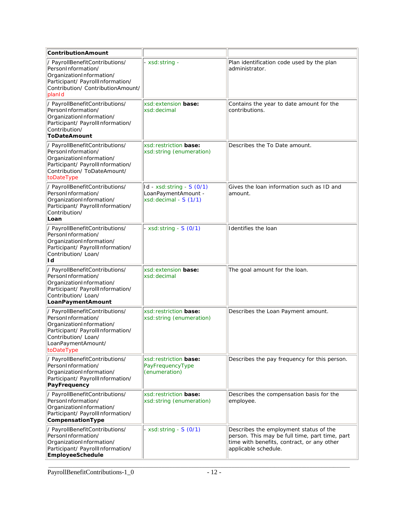| ContributionAmount                                                                                                                                                              |                                                                             |                                                                                                                                                                |
|---------------------------------------------------------------------------------------------------------------------------------------------------------------------------------|-----------------------------------------------------------------------------|----------------------------------------------------------------------------------------------------------------------------------------------------------------|
| / PayrollBenefitContributions/<br>PersonInformation/<br>OrganizationInformation/<br>Participant/ PayrollInformation/<br>Contribution/ ContributionAmount/<br>planid             | xsd: string -                                                               | Plan identification code used by the plan<br>administrator.                                                                                                    |
| / PayrollBenefitContributions/<br>PersonInformation/<br>OrganizationInformation/<br>Participant/ PayrollInformation/<br>Contribution/<br>ToDateAmount                           | xsd: extension base:<br>xsd: decimal                                        | Contains the year to date amount for the<br>contributions.                                                                                                     |
| / PayrollBenefitContributions/<br>PersonInformation/<br>OrganizationInformation/<br>Participant/ PayrollInformation/<br>Contribution/ ToDateAmount/<br>toDateType               | xsd: restriction base:<br>xsd: string (enumeration)                         | Describes the To Date amount.                                                                                                                                  |
| / PayrollBenefitContributions/<br>PersonInformation/<br>OrganizationInformation/<br>Participant/ PayrollInformation/<br>Contribution/<br>Loan                                   | $Id - xsd:string - S(0/1)$<br>LoanPaymentAmount -<br>xsd: decimal - S (1/1) | Gives the loan information such as ID and<br>lamount.                                                                                                          |
| / PayrollBenefitContributions/<br>PersonInformation/<br>OrganizationInformation/<br>Participant/ PayrollInformation/<br>Contribution/ Loan/<br>Id                               | - xsd: string - $S(0/1)$                                                    | Identifies the loan                                                                                                                                            |
| / PayrollBenefitContributions/<br>PersonInformation/<br>OrganizationInformation/<br>Participant/ PayrollInformation/<br>Contribution/ Loan/<br>LoanPaymentAmount                | xsd: extension base:<br>lxsd: decimal                                       | The goal amount for the loan.                                                                                                                                  |
| / PayrollBenefitContributions/<br>PersonInformation/<br>OrganizationInformation/<br>Participant/ PayrollInformation/<br>Contribution/ Loan/<br>LoanPaymentAmount/<br>toDateType | xsd: restriction base:<br>xsd: string (enumeration)                         | Describes the Loan Payment amount.                                                                                                                             |
| / PayrollBenefitContributions/<br>PersonInformation/<br>OrganizationInformation/<br>Participant/ PayrollInformation/<br>PayFrequency                                            | xsd: restriction base:<br>PayFrequencyType<br>(enumeration)                 | Describes the pay frequency for this person.                                                                                                                   |
| / PayrollBenefitContributions/<br>PersonInformation/<br>OrganizationInformation/<br>Participant/ PayrollInformation/<br>CompensationType                                        | xsd: restriction <b>base:</b><br>xsd: string (enumeration)                  | Describes the compensation basis for the<br>employee.                                                                                                          |
| / PayrollBenefitContributions/<br>PersonInformation/<br>OrganizationInformation/<br>Participant/ PayrollInformation/<br>EmployeeSchedule                                        | $xsd:$ string - $S(0/1)$                                                    | Describes the employment status of the<br>person. This may be full time, part time, part<br>time with benefits, contract, or any other<br>applicable schedule. |

\_\_\_\_\_\_\_\_\_\_\_\_\_\_\_\_\_\_\_\_\_\_\_\_\_\_\_\_\_\_\_\_\_\_\_\_\_\_\_\_\_\_\_\_\_\_\_\_\_\_\_\_\_\_\_\_\_\_\_\_\_\_\_\_\_\_\_\_\_\_\_\_\_\_\_\_\_\_\_\_\_\_\_\_\_\_\_\_\_\_\_\_\_\_\_\_\_\_\_\_\_\_\_\_\_\_\_\_\_\_\_\_ PayrollBenefitContributions-1\_0 - 12 -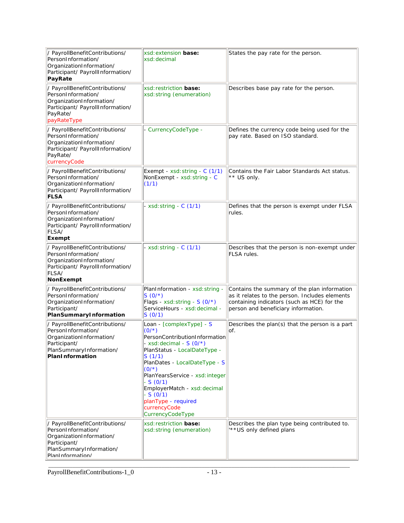| / PayrollBenefitContributions/<br>PersonInformation/<br>OrganizationInformation/<br>Participant/ PayrollInformation/<br>PayRate                  | xsd: extension base:<br>xsd: decimal                                                                                                                                                                                                                                                                                                          | States the pay rate for the person.                                                                                                                                                  |
|--------------------------------------------------------------------------------------------------------------------------------------------------|-----------------------------------------------------------------------------------------------------------------------------------------------------------------------------------------------------------------------------------------------------------------------------------------------------------------------------------------------|--------------------------------------------------------------------------------------------------------------------------------------------------------------------------------------|
| / PayrollBenefitContributions/<br>PersonInformation/<br>OrganizationInformation/<br>Participant/ PayrollInformation/<br>PayRate/<br>payRateType  | xsd: restriction base:<br>xsd: string (enumeration)                                                                                                                                                                                                                                                                                           | Describes base pay rate for the person.                                                                                                                                              |
| / PayrollBenefitContributions/<br>PersonInformation/<br>OrganizationInformation/<br>Participant/ PayrollInformation/<br>PayRate/<br>currencyCode | - CurrencyCodeType -                                                                                                                                                                                                                                                                                                                          | Defines the currency code being used for the<br>pay rate. Based on ISO standard.                                                                                                     |
| / PayrollBenefitContributions/<br>PersonInformation/<br>OrganizationInformation/<br>Participant/ PayrollInformation/<br><b>FLSA</b>              | Exempt - xsd: string - C (1/1)<br>NonExempt - xsd: string - C<br>(1/1)                                                                                                                                                                                                                                                                        | Contains the Fair Labor Standards Act status.<br>** US only.                                                                                                                         |
| / PayrollBenefitContributions/<br>PersonInformation/<br>OrganizationInformation/<br>Participant/ PayrollInformation/<br>FLSA/<br>Exempt          | - xsd: string - $C(1/1)$                                                                                                                                                                                                                                                                                                                      | Defines that the person is exempt under FLSA<br>Irules.                                                                                                                              |
| / PayrollBenefitContributions/<br>PersonInformation/<br>OrganizationInformation/<br>Participant/ PayrollInformation/<br>FLSA/<br>NonExempt       | - xsd: string - C (1/1)                                                                                                                                                                                                                                                                                                                       | Describes that the person is non-exempt under<br>FLSA rules.                                                                                                                         |
| / PayrollBenefitContributions/<br>PersonInformation/<br>OrganizationInformation/<br>Participant/<br>PlanSummaryInformation                       | PlanInformation - xsd: string -<br>$S(0/*)$<br>Flags - xsd: string - S (0/*)<br>ServiceHours - xsd: decimal -<br>S(0/1)                                                                                                                                                                                                                       | Contains the summary of the plan information<br>as it relates to the person. Includes elements<br>containing indicators (such as HCE) for the<br>person and beneficiary information. |
| / PayrollBenefitContributions/<br>PersonInformation/<br>OrganizationInformation/<br>Participant/<br>PlanSummaryInformation/<br>PlanInformation   | Loan - [complexType] - S<br>$(0/*)$<br>PersonContributionInformation<br>xsd: decimal - $S(0/*)$<br>PlanStatus - LocalDateType -<br>S(1/1)<br>PlanDates - LocalDateType - S<br>$(0/*)$<br>PlanYearsService - xsd: integer<br>$-S(0/1)$<br>EmployerMatch - xsd: decimal<br>$-S(0/1)$<br>planType - required<br>currencyCode<br>CurrencyCodeType | Describes the plan(s) that the person is a part<br>lof.                                                                                                                              |
| / PayrollBenefitContributions/<br>PersonInformation/<br>OrganizationInformation/<br>Participant/<br>PlanSummaryInformation/<br>PlanInformation/  | xsd: restriction <b>base:</b><br>xsd: string (enumeration)                                                                                                                                                                                                                                                                                    | Describes the plan type being contributed to.<br>"** US only defined plans                                                                                                           |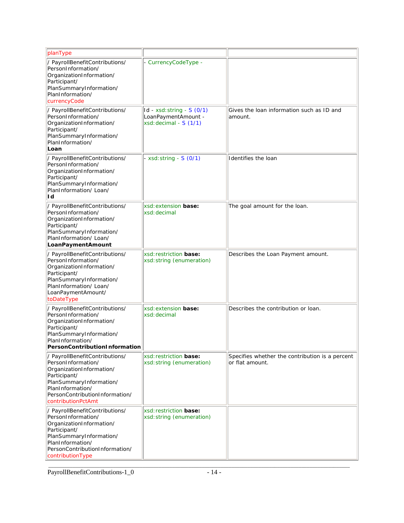| planType                                                                                                                                                                                                |                                                                             |                                                                     |
|---------------------------------------------------------------------------------------------------------------------------------------------------------------------------------------------------------|-----------------------------------------------------------------------------|---------------------------------------------------------------------|
| / PayrollBenefitContributions/<br>PersonInformation/<br>OrganizationInformation/<br>Participant/<br>PlanSummaryInformation/<br>PlanInformation/<br>currencyCode                                         | - CurrencyCodeType -                                                        |                                                                     |
| / PayrollBenefitContributions/<br>PersonInformation/<br>OrganizationInformation/<br>Participant/<br>PlanSummaryInformation/<br>PlanInformation/<br>Loan                                                 | $Id - xsd:string - S(0/1)$<br>LoanPaymentAmount -<br>xsd: decimal - S (1/1) | Gives the loan information such as ID and<br>amount.                |
| / PayrollBenefitContributions/<br>PersonInformation/<br>OrganizationInformation/<br>Participant/<br>PlanSummaryInformation/<br>PlanInformation/Loan/<br>Id                                              | - xsd: string - $S(0/1)$                                                    | Identifies the loan                                                 |
| / PayrollBenefitContributions/<br>PersonInformation/<br>OrganizationInformation/<br>Participant/<br>PlanSummaryInformation/<br>PlanInformation/Loan/<br>LoanPaymentAmount                               | xsd: extension base:<br>xsd: decimal                                        | The goal amount for the loan.                                       |
| / PayrollBenefitContributions/<br>PersonInformation/<br>OrganizationInformation/<br>Participant/<br>PlanSummaryInformation/<br>PlanInformation/ Loan/<br>LoanPaymentAmount/<br>toDateType               | xsd: restriction base:<br>xsd: string (enumeration)                         | Describes the Loan Payment amount.                                  |
| / PayrollBenefitContributions/<br>PersonInformation/<br>OrganizationInformation/<br>Participant/<br>PlanSummaryInformation/<br>PlanInformation/<br>PersonContributionInformation                        | xsd: extension base:<br>xsd: decimal                                        | Describes the contribution or loan.                                 |
| / PayrollBenefitContributions/<br>PersonInformation/<br>OrganizationInformation/<br>Participant/<br>PlanSummaryInformation/<br>PlanInformation/<br>PersonContributionInformation/<br>contributionPctAmt | xsd: restriction base:<br>xsd: string (enumeration)                         | Specifies whether the contribution is a percent<br>lor flat amount. |
| / PayrollBenefitContributions/<br>PersonInformation/<br>OrganizationInformation/<br>Participant/<br>PlanSummaryInformation/<br>PlanInformation/<br>PersonContributionInformation/<br>contributionType   | xsd: restriction base:<br>xsd: string (enumeration)                         |                                                                     |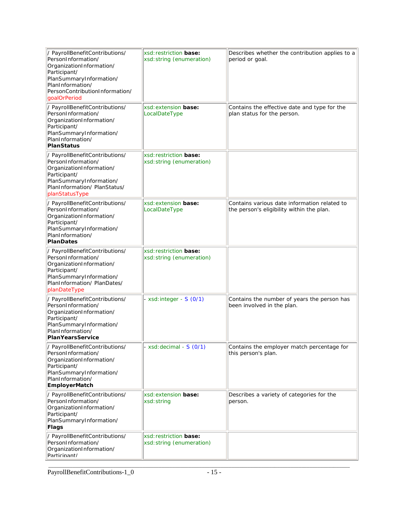| / PayrollBenefitContributions/<br>PersonInformation/<br>OrganizationInformation/<br>Participant/<br>PlanSummaryInformation/<br>PlanInformation/<br>PersonContributionInformation/<br>qoalOrPeriod | xsd: restriction <b>base:</b><br>xsd: string (enumeration) | Describes whether the contribution applies to a<br>period or goal.                        |
|---------------------------------------------------------------------------------------------------------------------------------------------------------------------------------------------------|------------------------------------------------------------|-------------------------------------------------------------------------------------------|
| / PayrollBenefitContributions/<br>PersonInformation/<br>OrganizationInformation/<br>Participant/<br>PlanSummaryInformation/<br>PlanInformation/<br>PlanStatus                                     | xsd: extension base:<br>LocalDateType                      | Contains the effective date and type for the<br>plan status for the person.               |
| / PayrollBenefitContributions/<br>PersonInformation/<br>OrganizationInformation/<br>Participant/<br>PlanSummaryInformation/<br>PlanInformation/ PlanStatus/<br>planStatusType                     | xsd: restriction base:<br>xsd: string (enumeration)        |                                                                                           |
| / PayrollBenefitContributions/<br>PersonInformation/<br>OrganizationInformation/<br>Participant/<br>PlanSummaryInformation/<br>PlanInformation/<br>PlanDates                                      | xsd: extension base:<br>LocalDateType                      | Contains various date information related to<br>the person's eligibility within the plan. |
| / PayrollBenefitContributions/<br>PersonInformation/<br>OrganizationInformation/<br>Participant/<br>PlanSummaryInformation/<br>PlanInformation/PlanDates/<br>planDateType                         | xsd: restriction base:<br>xsd: string (enumeration)        |                                                                                           |
| / PayrollBenefitContributions/<br>PersonInformation/<br>OrganizationInformation/<br>Participant/<br>PlanSummaryInformation/<br>PlanInformation/<br>PlanYearsService                               | - xsd: integer - $S(0/1)$                                  | Contains the number of years the person has<br>been involved in the plan.                 |
| / PayrollBenefitContributions/<br>PersonInformation/<br>OrganizationInformation/<br>Participant/<br>PlanSummaryInformation/<br>PlanInformation/<br><b>EmployerMatch</b>                           | xsd: decimal - S (0/1)                                     | Contains the employer match percentage for<br>this person's plan.                         |
| / PayrollBenefitContributions/<br>PersonInformation/<br>OrganizationInformation/<br>Participant/<br>PlanSummaryInformation/<br>Flags                                                              | xsd: extension base:<br>xsd: string                        | Describes a variety of categories for the<br>person.                                      |
| / PayrollBenefitContributions/<br>PersonInformation/<br>OrganizationInformation/<br>Particinant/                                                                                                  | xsd: restriction base:<br>xsd: string (enumeration)        |                                                                                           |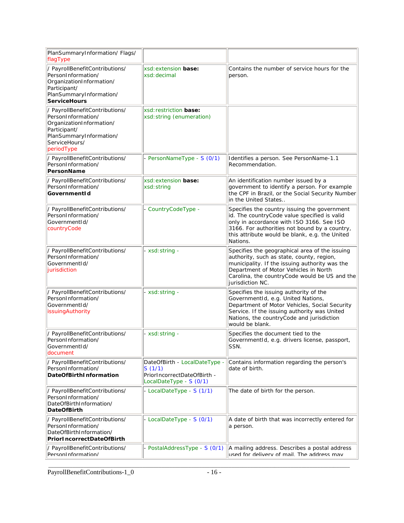| PlanSummaryInformation/Flags/<br>flagType                                                                                                                  |                                                                                                   |                                                                                                                                                                                                                                                             |
|------------------------------------------------------------------------------------------------------------------------------------------------------------|---------------------------------------------------------------------------------------------------|-------------------------------------------------------------------------------------------------------------------------------------------------------------------------------------------------------------------------------------------------------------|
| / PayrollBenefitContributions/<br>PersonInformation/<br>OrganizationInformation/<br>Participant/<br>PlanSummaryInformation/<br><b>ServiceHours</b>         | xsd: extension <b>base:</b><br>xsd: decimal                                                       | Contains the number of service hours for the<br>person.                                                                                                                                                                                                     |
| / PayrollBenefitContributions/<br>PersonInformation/<br>OrganizationInformation/<br>Participant/<br>PlanSummaryInformation/<br>ServiceHours/<br>periodType | xsd: restriction base:<br>xsd: string (enumeration)                                               |                                                                                                                                                                                                                                                             |
| / PayrollBenefitContributions/<br>PersonInformation/<br>PersonName                                                                                         | PersonNameType - S (0/1)                                                                          | Identifies a person. See PersonName-1.1<br>Recommendation.                                                                                                                                                                                                  |
| / PayrollBenefitContributions/<br>PersonInformation/<br>GovernmentId                                                                                       | xsd: extension base:<br>xsd: string                                                               | An identification number issued by a<br>government to identify a person. For example<br>the CPF in Brazil, or the Social Security Number<br>in the United States                                                                                            |
| / PayrollBenefitContributions/<br>PersonInformation/<br>GovernmentId/<br>countryCode                                                                       | CountryCodeType -                                                                                 | Specifies the country issuing the government<br>id. The countryCode value specified is valid<br>only in accordance with ISO 3166. See ISO<br>3166. For authorities not bound by a country,<br>this attribute would be blank, e.g. the United<br>Nations.    |
| / PayrollBenefitContributions/<br>PersonInformation/<br>GovernmentId/<br>jurisdiction                                                                      | xsd: string -                                                                                     | Specifies the geographical area of the issuing<br>authority, such as state, county, region,<br>municipality. If the issuing authority was the<br>Department of Motor Vehicles in North<br>Carolina, the countryCode would be US and the<br>jurisdiction NC. |
| / PayrollBenefitContributions/<br>PersonInformation/<br>GovernmentId/<br>issuingAuthority                                                                  | - xsd: string -                                                                                   | Specifies the issuing authority of the<br>GovernmentId, e.g. United Nations,<br>Department of Motor Vehicles, Social Security<br>Service. If the issuing authority was United<br>Nations, the countryCode and jurisdiction<br>would be blank.               |
| / PayrollBenefitContributions/<br>PersonInformation/<br>GovernmentId/<br>document                                                                          | xsd: string -                                                                                     | Specifies the document tied to the<br>GovernmentId, e.g. drivers license, passport,<br>SSN.                                                                                                                                                                 |
| / PayrollBenefitContributions/<br>PersonInformation/<br>DateOfBirthInformation                                                                             | DateOfBirth - LocalDateType -<br>S(1/1)<br>PriorIncorrectDateOfBirth -<br>LocalDateType - S (0/1) | Contains information regarding the person's<br>date of birth.                                                                                                                                                                                               |
| / PayrollBenefitContributions/<br>PersonInformation/<br>DateOfBirthInformation/<br><b>DateOfBirth</b>                                                      | - LocalDateType - S (1/1)                                                                         | The date of birth for the person.                                                                                                                                                                                                                           |
| / PayrollBenefitContributions/<br>PersonInformation/<br>DateOfBirthInformation/<br>PriorIncorrectDateOfBirth                                               | - LocalDateType - S (0/1)                                                                         | A date of birth that was incorrectly entered for<br>a person.                                                                                                                                                                                               |
| / PayrollBenefitContributions/<br>PersonInformation/                                                                                                       | PostalAddressType - S (0/1)                                                                       | A mailing address. Describes a postal address<br>used for delivery of mail. The address may                                                                                                                                                                 |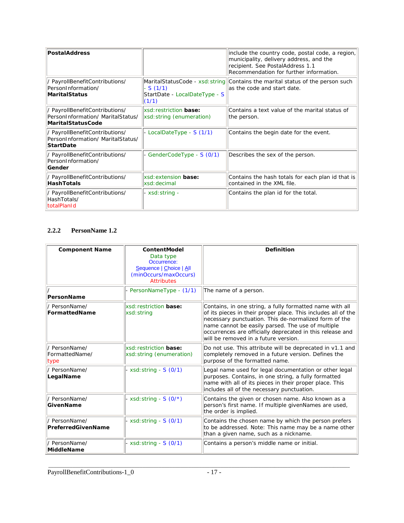| PostalAddress                                                                            |                                                     | include the country code, postal code, a region,<br>municipality, delivery address, and the<br>recipient. See PostalAddress 1.1<br>Recommendation for further information. |
|------------------------------------------------------------------------------------------|-----------------------------------------------------|----------------------------------------------------------------------------------------------------------------------------------------------------------------------------|
| / PayrollBenefitContributions/<br>PersonInformation/<br> MaritalStatus                   | $-S(1/1)$<br>StartDate - LocalDateType - S<br>(1/1) | MaritalStatusCode - $xsd:string$ Contains the marital status of the person such<br>as the code and start date.                                                             |
| / PayrollBenefitContributions/<br>PersonInformation/ MaritalStatus/<br>MaritalStatusCode | xsd: restriction base:<br>xsd: string (enumeration) | Contains a text value of the marital status of<br>the person.                                                                                                              |
| / PayrollBenefitContributions/<br>PersonInformation/ MaritalStatus/<br><b>StartDate</b>  | - LocalDateType - S (1/1)                           | Contains the begin date for the event.                                                                                                                                     |
| / PayrollBenefitContributions/<br>PersonInformation/<br> Gender                          | - GenderCodeType - S (0/1)                          | Describes the sex of the person.                                                                                                                                           |
| / PayrollBenefitContributions/<br><b>HashTotals</b>                                      | xsd: extension base:<br>xsd: decimal                | Contains the hash totals for each plan id that is<br>contained in the XML file.                                                                                            |
| / PayrollBenefitContributions/<br>HashTotals/<br>totalPlanId                             | - xsd: string -                                     | Contains the plan id for the total.                                                                                                                                        |

#### **2.2.2 PersonName 1.2**

| <b>Component Name</b>                   | ContentModel<br>Data type<br>Occurrence:<br>Sequence   Choice   All<br>(minOccurs/maxOccurs)<br><b>Attributes</b> | Definition                                                                                                                                                                                                                                                                                                                                   |
|-----------------------------------------|-------------------------------------------------------------------------------------------------------------------|----------------------------------------------------------------------------------------------------------------------------------------------------------------------------------------------------------------------------------------------------------------------------------------------------------------------------------------------|
| PersonName                              | - PersonNameType - (1/1)                                                                                          | The name of a person.                                                                                                                                                                                                                                                                                                                        |
| / PersonName/<br>FormattedName          | xsd:restriction base:<br>xsd: string                                                                              | Contains, in one string, a fully formatted name with all<br>of its pieces in their proper place. This includes all of the<br>necessary punctuation. This de-normalized form of the<br>name cannot be easily parsed. The use of multiple<br>occurrences are officially deprecated in this release and<br>will be removed in a future version. |
| / PersonName/<br>FormattedName/<br>type | xsd: restriction base:<br>xsd: string (enumeration)                                                               | Do not use. This attribute will be deprecated in v1.1 and<br>completely removed in a future version. Defines the<br>purpose of the formatted name.                                                                                                                                                                                           |
| / PersonName/<br>LegalName              | $xsd:$ string - $S(0/1)$                                                                                          | Legal name used for legal documentation or other legal<br>purposes. Contains, in one string, a fully formatted<br>name with all of its pieces in their proper place. This<br>includes all of the necessary punctuation.                                                                                                                      |
| / PersonName/<br>GivenName              | - xsd: string - $S(0/*)$                                                                                          | Contains the given or chosen name. Also known as a<br>person's first name. If multiple givenNames are used,<br>the order is implied.                                                                                                                                                                                                         |
| / PersonName/<br>PreferredGivenName     | - xsd: string - $S(0/1)$                                                                                          | Contains the chosen name by which the person prefers<br>to be addressed. Note: This name may be a name other<br>than a given name, such as a nickname.                                                                                                                                                                                       |
| / PersonName/<br>MiddleName             | - xsd: string - $S(0/1)$                                                                                          | Contains a person's middle name or initial.                                                                                                                                                                                                                                                                                                  |

\_\_\_\_\_\_\_\_\_\_\_\_\_\_\_\_\_\_\_\_\_\_\_\_\_\_\_\_\_\_\_\_\_\_\_\_\_\_\_\_\_\_\_\_\_\_\_\_\_\_\_\_\_\_\_\_\_\_\_\_\_\_\_\_\_\_\_\_\_\_\_\_\_\_\_\_\_\_\_\_\_\_\_\_\_\_\_\_\_\_\_\_\_\_\_\_\_\_\_\_\_\_\_\_\_\_\_\_\_\_\_\_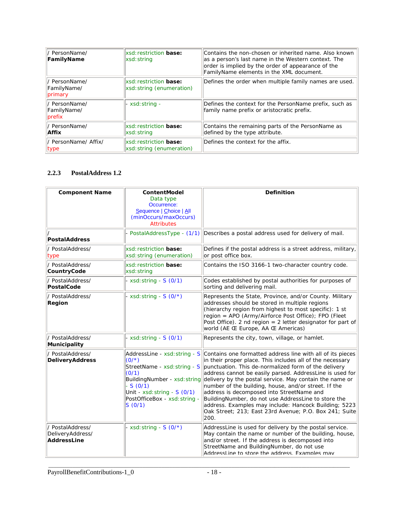| / PersonName/<br>FamilyName             | xsd: restriction base:<br>xsd: string                             | Contains the non-chosen or inherited name. Also known<br>as a person's last name in the Western context. The<br>order is implied by the order of appearance of the<br>FamilyName elements in the XML document. |
|-----------------------------------------|-------------------------------------------------------------------|----------------------------------------------------------------------------------------------------------------------------------------------------------------------------------------------------------------|
| / PersonName/<br>FamilyName/<br>primary | xsd: restriction base:<br>xsd: string (enumeration)               | Defines the order when multiple family names are used.                                                                                                                                                         |
| / PersonName/<br>FamilyName/<br>prefix  | - xsd: string -                                                   | Defines the context for the PersonName prefix, such as<br>family name prefix or aristocratic prefix.                                                                                                           |
| / PersonName/<br> Affix                 | xsd: restriction base:<br>xsd: string                             | Contains the remaining parts of the PersonName as<br>defined by the type attribute.                                                                                                                            |
| / PersonName/ Affix/<br> type           | <b>xsd:</b> restriction <b>base:</b><br>xsd: string (enumeration) | Defines the context for the affix.                                                                                                                                                                             |

#### **2.2.3 PostalAddress 1.2**

| <b>Component Name</b>                               | ContentModel<br>Data type<br>Occurrence:<br>Sequence   Choice   All<br>(minOccurs/maxOccurs)<br><b>Attributes</b>                                                                                          | Definition                                                                                                                                                                                                                                                                                                                                                                                                                                                                                                                                                                                    |
|-----------------------------------------------------|------------------------------------------------------------------------------------------------------------------------------------------------------------------------------------------------------------|-----------------------------------------------------------------------------------------------------------------------------------------------------------------------------------------------------------------------------------------------------------------------------------------------------------------------------------------------------------------------------------------------------------------------------------------------------------------------------------------------------------------------------------------------------------------------------------------------|
| PostalAddress                                       |                                                                                                                                                                                                            | PostalAddressType - (1/1) Describes a postal address used for delivery of mail.                                                                                                                                                                                                                                                                                                                                                                                                                                                                                                               |
| / PostalAddress/<br>type                            | xsd: restriction base:<br>xsd: string (enumeration)                                                                                                                                                        | Defines if the postal address is a street address, military,<br>or post office box.                                                                                                                                                                                                                                                                                                                                                                                                                                                                                                           |
| / PostalAddress/<br>CountryCode                     | xsd: restriction base:<br>xsd: string                                                                                                                                                                      | Contains the ISO 3166-1 two-character country code.                                                                                                                                                                                                                                                                                                                                                                                                                                                                                                                                           |
| / PostalAddress/<br>PostalCode                      | - xsd: string - $S(0/1)$                                                                                                                                                                                   | Codes established by postal authorities for purposes of<br>sorting and delivering mail.                                                                                                                                                                                                                                                                                                                                                                                                                                                                                                       |
| / PostalAddress/<br>Region                          | - xsd: string - $S(0/*)$                                                                                                                                                                                   | Represents the State, Province, and/or County. Military<br>addresses should be stored in multiple regions<br>(hierarchy region from highest to most specific): 1 st<br>region = APO (Army/Airforce Post Office); FPO (Fleet<br>Post Office). 2 nd region = 2 letter designator for part of<br>world (AE Œ Europe, AA Œ Americas)                                                                                                                                                                                                                                                              |
| PostalAddress/<br>Municipality                      | - xsd: string - $S(0/1)$                                                                                                                                                                                   | Represents the city, town, village, or hamlet.                                                                                                                                                                                                                                                                                                                                                                                                                                                                                                                                                |
| / PostalAddress/<br>DeliveryAddress                 | AddressLine - xsd: string - S<br>$(0/*)$<br>StreetName - xsd: string - S<br>(0/1)<br>BuildingNumber - xsd: string<br>$-S(0/1)$<br>Unit - $xsd: string - S(0/1)$<br>PostOfficeBox - xsd: string -<br>S(0/1) | Contains one formatted address line with all of its pieces<br>in their proper place. This includes all of the necessary<br>punctuation. This de-normalized form of the delivery<br>address cannot be easily parsed. AddressLine is used for<br>delivery by the postal service. May contain the name or<br>number of the building, house, and/or street. If the<br>address is decomposed into StreetName and<br>BuildingNumber, do not use AddressLine to store the<br>address. Examples may include: Hancock Building; 5223<br>Oak Street; 213; East 23rd Avenue; P.O. Box 241; Suite<br>200. |
| / PostalAddress/<br>DeliveryAddress/<br>AddressLine | - xsd: string - $S(0/*)$                                                                                                                                                                                   | AddressLine is used for delivery by the postal service.<br>May contain the name or number of the building, house,<br>and/or street. If the address is decomposed into<br>StreetName and BuildingNumber, do not use<br>AddressLine to store the address. Examples may                                                                                                                                                                                                                                                                                                                          |

\_\_\_\_\_\_\_\_\_\_\_\_\_\_\_\_\_\_\_\_\_\_\_\_\_\_\_\_\_\_\_\_\_\_\_\_\_\_\_\_\_\_\_\_\_\_\_\_\_\_\_\_\_\_\_\_\_\_\_\_\_\_\_\_\_\_\_\_\_\_\_\_\_\_\_\_\_\_\_\_\_\_\_\_\_\_\_\_\_\_\_\_\_\_\_\_\_\_\_\_\_\_\_\_\_\_\_\_\_\_\_\_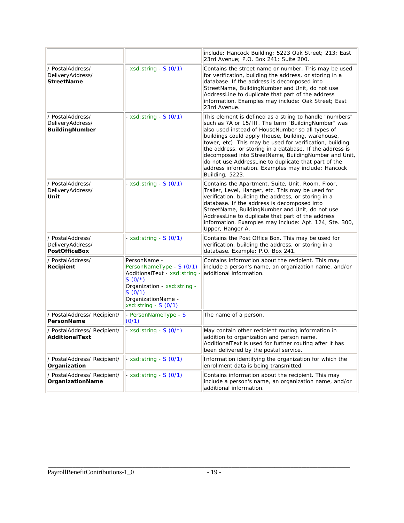|                                                           |                                                                                                                                                                                    | include: Hancock Building; 5223 Oak Street; 213; East<br>23rd Avenue; P.O. Box 241; Suite 200.                                                                                                                                                                                                                                                                                                                                                                                                                                            |
|-----------------------------------------------------------|------------------------------------------------------------------------------------------------------------------------------------------------------------------------------------|-------------------------------------------------------------------------------------------------------------------------------------------------------------------------------------------------------------------------------------------------------------------------------------------------------------------------------------------------------------------------------------------------------------------------------------------------------------------------------------------------------------------------------------------|
| / PostalAddress/<br>DeliveryAddress/<br><b>StreetName</b> | $xsd:$ string - $S(0/1)$                                                                                                                                                           | Contains the street name or number. This may be used<br>for verification, building the address, or storing in a<br>database. If the address is decomposed into<br>StreetName, BuildingNumber and Unit, do not use<br>AddressLine to duplicate that part of the address<br>information. Examples may include: Oak Street; East<br>23rd Avenue.                                                                                                                                                                                             |
| / PostalAddress/<br>DeliveryAddress/<br>BuildingNumber    | - xsd: string - $S(0/1)$                                                                                                                                                           | This element is defined as a string to handle "numbers"<br>such as 7A or 15/III. The term "BuildingNumber" was<br>also used instead of HouseNumber so all types of<br>buildings could apply (house, building, warehouse,<br>tower, etc). This may be used for verification, building<br>the address, or storing in a database. If the address is<br>decomposed into StreetName, BuildingNumber and Unit,<br>do not use AddressLine to duplicate that part of the<br>address information. Examples may include: Hancock<br>Building; 5223. |
| / PostalAddress/<br>DeliveryAddress/<br>Unit              | $xsd: string - S(0/1)$                                                                                                                                                             | Contains the Apartment, Suite, Unit, Room, Floor,<br>Trailer, Level, Hanger, etc. This may be used for<br>verification, building the address, or storing in a<br>database. If the address is decomposed into<br>StreetName, BuildingNumber and Unit, do not use<br>AddressLine to duplicate that part of the address<br>information. Examples may include: Apt. 124, Ste. 300,<br>Upper, Hanger A.                                                                                                                                        |
| / PostalAddress/<br>DeliveryAddress/<br>PostOfficeBox     | - xsd: string - $S(0/1)$                                                                                                                                                           | Contains the Post Office Box. This may be used for<br>verification, building the address, or storing in a<br>database. Example: P.O. Box 241.                                                                                                                                                                                                                                                                                                                                                                                             |
| / PostalAddress/<br>Recipient                             | PersonName -<br>PersonNameType - S (0/1)<br>AdditionalText - xsd: string -<br>$S(0/*)$<br>Organization - xsd: string -<br>S(0/1)<br>OrganizationName -<br>$xsd:$ string - $S(0/1)$ | Contains information about the recipient. This may<br>include a person's name, an organization name, and/or<br>additional information.                                                                                                                                                                                                                                                                                                                                                                                                    |
| / PostalAddress/ Recipient/<br>PersonName                 | - PersonNameType - S<br>(0/1)                                                                                                                                                      | The name of a person.                                                                                                                                                                                                                                                                                                                                                                                                                                                                                                                     |
| / PostalAddress/ Recipient/<br>AdditionalText             | - xsd: string - $S(0/*)$                                                                                                                                                           | May contain other recipient routing information in<br>addition to organization and person name.<br>AdditionalText is used for further routing after it has<br>been delivered by the postal service.                                                                                                                                                                                                                                                                                                                                       |
| / PostalAddress/ Recipient/<br>Organization               | - xsd: string - $S(0/1)$                                                                                                                                                           | Information identifying the organization for which the<br>enrollment data is being transmitted.                                                                                                                                                                                                                                                                                                                                                                                                                                           |
| / PostalAddress/ Recipient/<br>OrganizationName           | - xsd: string - $S(0/1)$                                                                                                                                                           | Contains information about the recipient. This may<br>include a person's name, an organization name, and/or<br>additional information.                                                                                                                                                                                                                                                                                                                                                                                                    |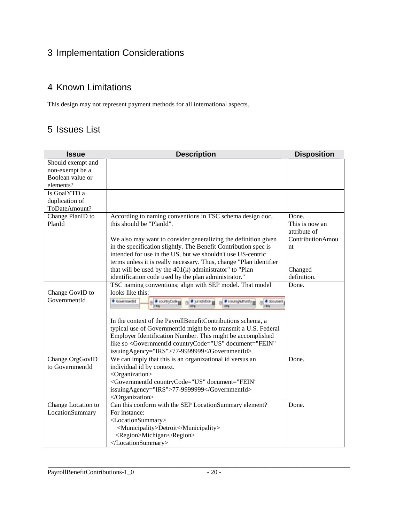## 3 Implementation Considerations

## 4 Known Limitations

This design may not represent payment methods for all international aspects.

## 5 Issues List

| <b>Issue</b>       | <b>Description</b>                                                                                       | <b>Disposition</b> |
|--------------------|----------------------------------------------------------------------------------------------------------|--------------------|
| Should exempt and  |                                                                                                          |                    |
| non-exempt be a    |                                                                                                          |                    |
| Boolean value or   |                                                                                                          |                    |
| elements?          |                                                                                                          |                    |
| Is GoalYTD a       |                                                                                                          |                    |
| duplication of     |                                                                                                          |                    |
| ToDateAmount?      |                                                                                                          |                    |
| Change PlanID to   | According to naming conventions in TSC schema design doc,                                                | Done.              |
| PlanId             | this should be "PlanId".                                                                                 | This is now an     |
|                    |                                                                                                          | attribute of       |
|                    | We also may want to consider generalizing the definition given                                           | ContributionAmou   |
|                    | in the specification slightly. The Benefit Contribution spec is                                          | nt                 |
|                    | intended for use in the US, but we shouldn't use US-centric                                              |                    |
|                    | terms unless it is really necessary. Thus, change "Plan identifier                                       |                    |
|                    | that will be used by the $401(k)$ administrator" to "Plan                                                | Changed            |
|                    | identification code used by the plan administrator."                                                     | definition.        |
|                    | TSC naming conventions; align with SEP model. That model                                                 | Done.              |
| Change GovID to    | looks like this:                                                                                         |                    |
| GovernmentId       | Covernmentid<br>e di country Code pp<br>· turisdiction ge<br># issungkathortty<br><b><i>Changers</i></b> |                    |
|                    | In the context of the PayrollBenefitContributions schema, a                                              |                    |
|                    | typical use of GovernmentId might be to transmit a U.S. Federal                                          |                    |
|                    | Employer Identification Number. This might be accomplished                                               |                    |
|                    | like so <governmentid <="" countrycode="US" document="FEIN" td=""><td></td></governmentid>               |                    |
|                    | issuingAgency="IRS">77-9999999                                                                           |                    |
| Change OrgGovID    | We can imply that this is an organizational id versus an                                                 | Done.              |
| to GovernmentId    | individual id by context.                                                                                |                    |
|                    | <organization></organization>                                                                            |                    |
|                    | <governmentid <="" countrycode="US" document="FEIN" td=""><td></td></governmentid>                       |                    |
|                    | issuingAgency="IRS">77-9999999                                                                           |                    |
|                    |                                                                                                          |                    |
| Change Location to | Can this conform with the SEP LocationSummary element?                                                   | Done.              |
| LocationSummary    | For instance:                                                                                            |                    |
|                    | <locationsummary></locationsummary>                                                                      |                    |
|                    | <municipality>Detroit</municipality>                                                                     |                    |
|                    | <region>Michigan</region>                                                                                |                    |
|                    |                                                                                                          |                    |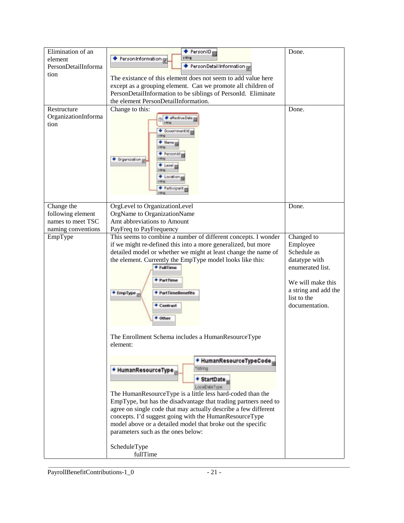| Elimination of an<br>element<br>PersonDetailInforma<br>tion                | $\bullet$ PersonID <sub>E</sub><br>s iring<br>Person Information <sub>R</sub><br>Person Detail Information<br>The existance of this element does not seem to add value here<br>except as a grouping element. Can we promote all children of<br>PersonDetailInformation to be siblings of PersonId. Eliminate<br>the element PersonDetailInformation.                                                                                                                                                                                                        | Done.                                                                                                                                                    |
|----------------------------------------------------------------------------|-------------------------------------------------------------------------------------------------------------------------------------------------------------------------------------------------------------------------------------------------------------------------------------------------------------------------------------------------------------------------------------------------------------------------------------------------------------------------------------------------------------------------------------------------------------|----------------------------------------------------------------------------------------------------------------------------------------------------------|
| Restructure<br>OrganizationInforma<br>tion                                 | Change to this:<br>effective Date<br><b>BovernmentId</b><br>Personid<br>Organization p<br>ossti on<br>Farticipant m                                                                                                                                                                                                                                                                                                                                                                                                                                         | Done.                                                                                                                                                    |
| Change the<br>following element<br>names to meet TSC<br>naming conventions | OrgLevel to OrganizationLevel<br>OrgName to OrganizationName<br>Amt abbreviations to Amount<br>PayFreq to PayFrequency                                                                                                                                                                                                                                                                                                                                                                                                                                      | Done.                                                                                                                                                    |
| EmpType                                                                    | This seems to combine a number of different concepts. I wonder<br>if we might re-defined this into a more generalized, but more<br>detailed model or whether we might at least change the name of<br>the element. Currently the EmpType model looks like this:<br>+ FullTime<br>+ PartTime<br>+ EmpType<br>+ PartTimeBenefits<br>+ Contract<br>+ Other                                                                                                                                                                                                      | Changed to<br>Employee<br>Schedule as<br>datatype with<br>enumerated list.<br>We will make this<br>a string and add the<br>list to the<br>documentation. |
|                                                                            | The Enrollment Schema includes a HumanResourceType<br>element:<br>+ HumanResourceTypeCode<br>*Jathing<br>+ HumanResourceType<br>+ StartDate,<br>LocaDateType<br>The HumanResourceType is a little less hard-coded than the<br>EmpType, but has the disadvantage that trading partners need to<br>agree on single code that may actually describe a few different<br>concepts. I'd suggest going with the HumanResourceType<br>model above or a detailed model that broke out the specific<br>parameters such as the ones below:<br>ScheduleType<br>fullTime |                                                                                                                                                          |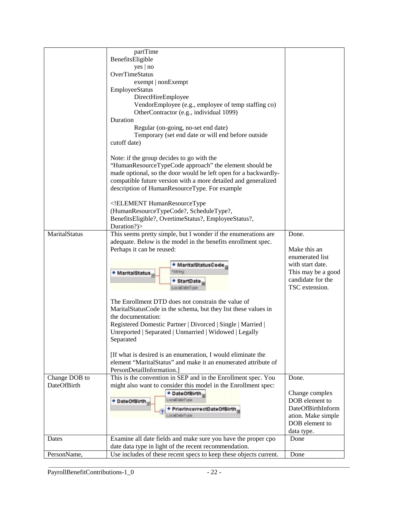|               | partTime                                                          |                    |
|---------------|-------------------------------------------------------------------|--------------------|
|               | BenefitsEligible                                                  |                    |
|               | $yes \mid no$                                                     |                    |
|               | OverTimeStatus                                                    |                    |
|               | exempt   nonExempt                                                |                    |
|               | EmployeeStatus                                                    |                    |
|               | DirectHireEmployee                                                |                    |
|               | VendorEmployee (e.g., employee of temp staffing co)               |                    |
|               | OtherContractor (e.g., individual 1099)                           |                    |
|               | Duration                                                          |                    |
|               | Regular (on-going, no-set end date)                               |                    |
|               | Temporary (set end date or will end before outside                |                    |
|               | cutoff date)                                                      |                    |
|               |                                                                   |                    |
|               | Note: if the group decides to go with the                         |                    |
|               | "HumanResourceTypeCode approach" the element should be            |                    |
|               | made optional, so the door would be left open for a backwardly-   |                    |
|               | compatible future version with a more detailed and generalized    |                    |
|               | description of HumanResourceType. For example                     |                    |
|               |                                                                   |                    |
|               | ELEMENT HumanResourceType</td <td></td>                           |                    |
|               | (HumanResourceTypeCode?, ScheduleType?,                           |                    |
|               | BenefitsEligible?, OvertimeStatus?, EmployeeStatus?,              |                    |
|               | Duration?)>                                                       |                    |
| MaritalStatus | This seems pretty simple, but I wonder if the enumerations are    | Done.              |
|               | adequate. Below is the model in the benefits enrollment spec.     |                    |
|               | Perhaps it can be reused:                                         | Make this an       |
|               |                                                                   | enumerated list    |
|               | + MaritalStatusCode                                               | with start date.   |
|               |                                                                   | This may be a good |
|               | * MaritalStatus                                                   | candidate for the  |
|               | * StartDate<br>LocalDateTvp                                       | TSC extension.     |
|               |                                                                   |                    |
|               | The Enrollment DTD does not constrain the value of                |                    |
|               | MaritalStatusCode in the schema, but they list these values in    |                    |
|               | the documentation:                                                |                    |
|               | Registered Domestic Partner   Divorced   Single   Married         |                    |
|               | Unreported   Separated   Unmarried   Widowed   Legally            |                    |
|               | Separated                                                         |                    |
|               |                                                                   |                    |
|               | [If what is desired is an enumeration, I would eliminate the      |                    |
|               | element "MaritalStatus" and make it an enumerated attribute of    |                    |
|               | PersonDetailInformation.]                                         |                    |
| Change DOB to | This is the convention in SEP and in the Enrollment spec. You     | Done.              |
| DateOfBirth   | might also want to consider this model in the Enrollment spec:    |                    |
|               | + DateOfBirth,                                                    | Change complex     |
|               | LocalDateType<br>+ DateOfBirth                                    | DOB element to     |
|               | + PriorincorrectDateOfBirth                                       | DateOfBirthInform  |
|               | ocalDateTvpe                                                      | ation. Make simple |
|               |                                                                   | DOB element to     |
|               |                                                                   | data type.         |
| Dates         | Examine all date fields and make sure you have the proper cpo     | Done               |
|               | date data type in light of the recent recommendation.             |                    |
| PersonName,   | Use includes of these recent specs to keep these objects current. | Done               |
|               |                                                                   |                    |

\_\_\_\_\_\_\_\_\_\_\_\_\_\_\_\_\_\_\_\_\_\_\_\_\_\_\_\_\_\_\_\_\_\_\_\_\_\_\_\_\_\_\_\_\_\_\_\_\_\_\_\_\_\_\_\_\_\_\_\_\_\_\_\_\_\_\_\_\_\_\_\_\_\_\_\_\_\_\_\_\_\_\_\_\_\_\_\_\_\_\_\_\_\_\_\_\_\_\_\_\_\_\_\_\_\_\_\_\_\_\_\_ PayrollBenefitContributions-1\_0 - 22 -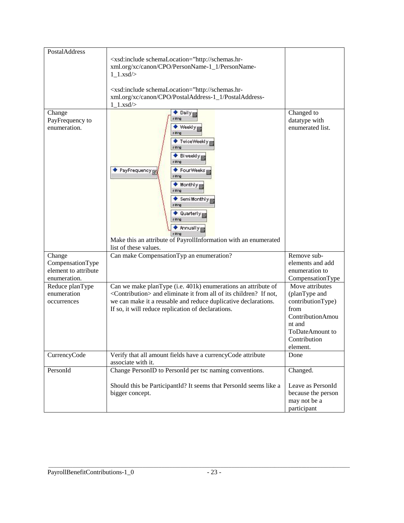| PostalAddress                                                      | <xsd:include http:="" schemalocation="http://schemas.hr-&lt;br&gt;xml.org/xc/canon/CPO/PersonName-1_1/PersonName-&lt;br&gt;&lt;math&gt;1_1.xsd/&lt;/math&gt;&lt;br&gt;&lt;xsd:include schemaLocation=" schemas.hr-<br="">xml.org/xc/canon/CPO/PostalAddress-1_1/PostalAddress-</xsd:include>                                                         |                                                                                                                         |
|--------------------------------------------------------------------|------------------------------------------------------------------------------------------------------------------------------------------------------------------------------------------------------------------------------------------------------------------------------------------------------------------------------------------------------|-------------------------------------------------------------------------------------------------------------------------|
|                                                                    | $1_1.xsd/$                                                                                                                                                                                                                                                                                                                                           |                                                                                                                         |
| Change<br>PayFrequency to<br>enumeration.                          | $\bullet$ Daily<br>s iring<br>◆ Weekly <sub>E</sub><br>◆ TwiceWeekly <sub>E</sub><br>s iring<br>$\bullet$ Biweekly<br>s iring<br>PayFrequency F<br>Four Weeks<br>s iring<br>M<br>s iring<br>Semi Monthly<br>s king<br>$\bullet$ Quarterly $\mathbf{p}$<br>$*$ Annually<br>s iring<br>Make this an attribute of PayrollInformation with an enumerated | Changed to<br>datatype with<br>enumerated list.                                                                         |
|                                                                    | list of these values.                                                                                                                                                                                                                                                                                                                                |                                                                                                                         |
| Change<br>CompensationType<br>element to attribute<br>enumeration. | Can make CompensationTyp an enumeration?                                                                                                                                                                                                                                                                                                             | Remove sub-<br>elements and add<br>enumeration to<br>CompensationType                                                   |
| Reduce planType                                                    | Can we make planType (i.e. 401k) enumerations an attribute of                                                                                                                                                                                                                                                                                        | Move attributes                                                                                                         |
| enumeration<br>occurrences                                         | <contribution> and eliminate it from all of its children? If not,<br/>we can make it a reusable and reduce duplicative declarations.<br/>If so, it will reduce replication of declarations.</contribution>                                                                                                                                           | (planType and<br>contributionType)<br>from<br>ContributionAmou<br>nt and<br>ToDateAmount to<br>Contribution<br>element. |
| CurrencyCode                                                       | Verify that all amount fields have a currencyCode attribute<br>associate with it.                                                                                                                                                                                                                                                                    | Done                                                                                                                    |
| PersonId                                                           | Change PersonID to PersonId per tsc naming conventions.                                                                                                                                                                                                                                                                                              | Changed.                                                                                                                |
|                                                                    | Should this be ParticipantId? It seems that PersonId seems like a<br>bigger concept.                                                                                                                                                                                                                                                                 | Leave as PersonId<br>because the person<br>may not be a<br>participant                                                  |